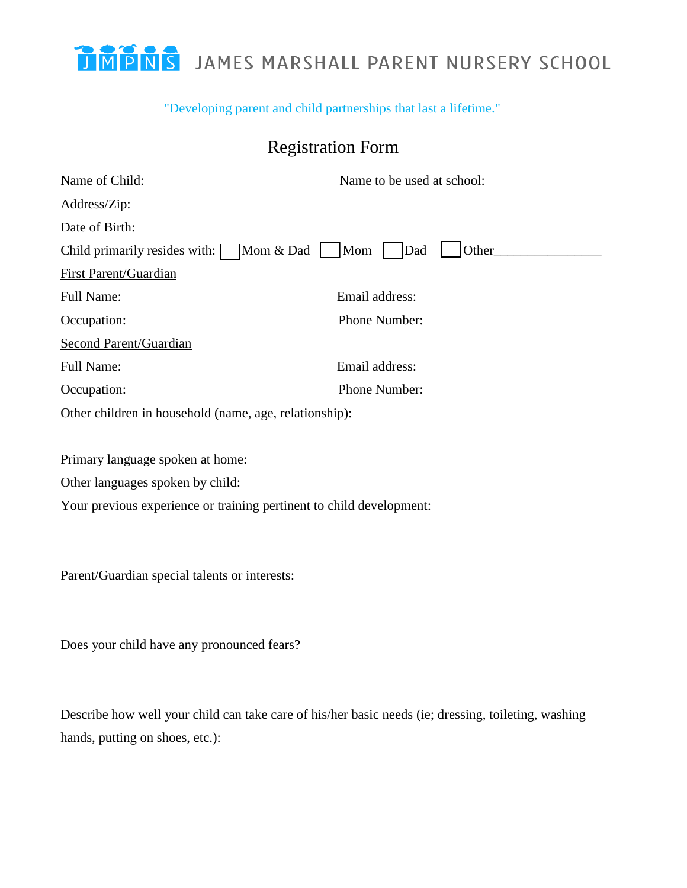## "Developing parent and child partnerships that last a lifetime."

## Registration Form

| Name of Child:                                                       | Name to be used at school: |
|----------------------------------------------------------------------|----------------------------|
| Address/Zip:                                                         |                            |
| Date of Birth:                                                       |                            |
| Mom & Dad<br>Child primarily resides with: $\sqrt{\phantom{a}}$      | Mom<br>Dad<br>Other        |
| <b>First Parent/Guardian</b>                                         |                            |
| Full Name:                                                           | Email address:             |
| Occupation:                                                          | Phone Number:              |
| <b>Second Parent/Guardian</b>                                        |                            |
| Full Name:                                                           | Email address:             |
| Occupation:                                                          | Phone Number:              |
| Other children in household (name, age, relationship):               |                            |
|                                                                      |                            |
| Primary language spoken at home:                                     |                            |
| Other languages spoken by child:                                     |                            |
| Your previous experience or training pertinent to child development: |                            |
|                                                                      |                            |
|                                                                      |                            |
| Parent/Guardian special talents or interests:                        |                            |
|                                                                      |                            |
|                                                                      |                            |
| Does your child have any pronounced fears?                           |                            |

Describe how well your child can take care of his/her basic needs (ie; dressing, toileting, washing

hands, putting on shoes, etc.):